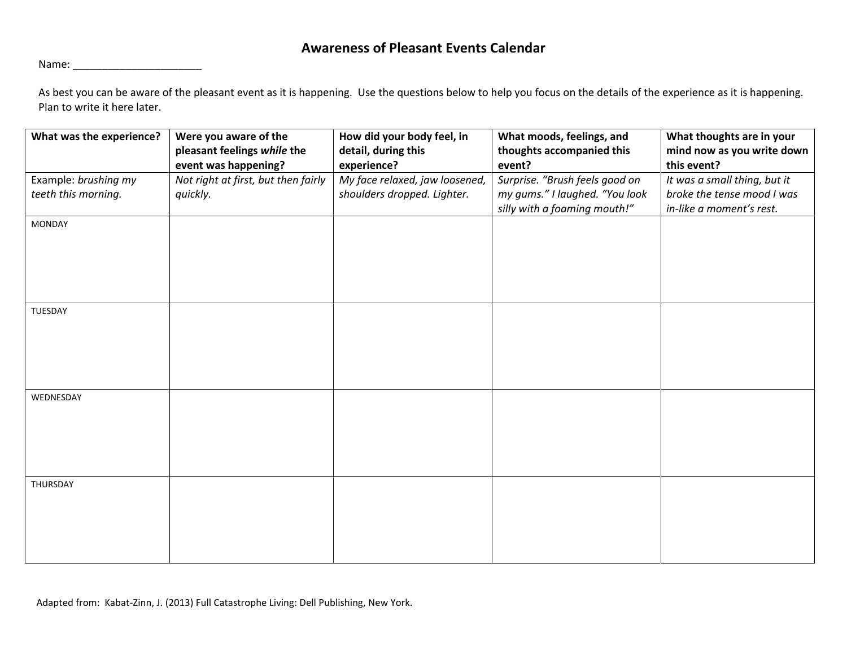## **Awareness of Pleasant Events Calendar**

Name: \_\_\_\_\_\_\_\_\_\_\_\_\_\_\_\_\_\_\_\_\_\_

As best you can be aware of the pleasant event as it is happening. Use the questions below to help you focus on the details of the experience as it is happening. Plan to write it here later.

| What was the experience? | Were you aware of the               | How did your body feel, in     | What moods, feelings, and      | What thoughts are in your    |
|--------------------------|-------------------------------------|--------------------------------|--------------------------------|------------------------------|
|                          | pleasant feelings while the         | detail, during this            | thoughts accompanied this      | mind now as you write down   |
|                          | event was happening?                | experience?                    | event?                         | this event?                  |
| Example: brushing my     | Not right at first, but then fairly | My face relaxed, jaw loosened, | Surprise. "Brush feels good on | It was a small thing, but it |
| teeth this morning.      | quickly.                            | shoulders dropped. Lighter.    | my gums." I laughed. "You look | broke the tense mood I was   |
|                          |                                     |                                | silly with a foaming mouth!"   | in-like a moment's rest.     |
| <b>MONDAY</b>            |                                     |                                |                                |                              |
|                          |                                     |                                |                                |                              |
|                          |                                     |                                |                                |                              |
|                          |                                     |                                |                                |                              |
|                          |                                     |                                |                                |                              |
|                          |                                     |                                |                                |                              |
| TUESDAY                  |                                     |                                |                                |                              |
|                          |                                     |                                |                                |                              |
|                          |                                     |                                |                                |                              |
|                          |                                     |                                |                                |                              |
|                          |                                     |                                |                                |                              |
|                          |                                     |                                |                                |                              |
| WEDNESDAY                |                                     |                                |                                |                              |
|                          |                                     |                                |                                |                              |
|                          |                                     |                                |                                |                              |
|                          |                                     |                                |                                |                              |
|                          |                                     |                                |                                |                              |
|                          |                                     |                                |                                |                              |
| THURSDAY                 |                                     |                                |                                |                              |
|                          |                                     |                                |                                |                              |
|                          |                                     |                                |                                |                              |
|                          |                                     |                                |                                |                              |
|                          |                                     |                                |                                |                              |
|                          |                                     |                                |                                |                              |

Adapted from: Kabat-Zinn, J. (2013) Full Catastrophe Living: Dell Publishing, New York.